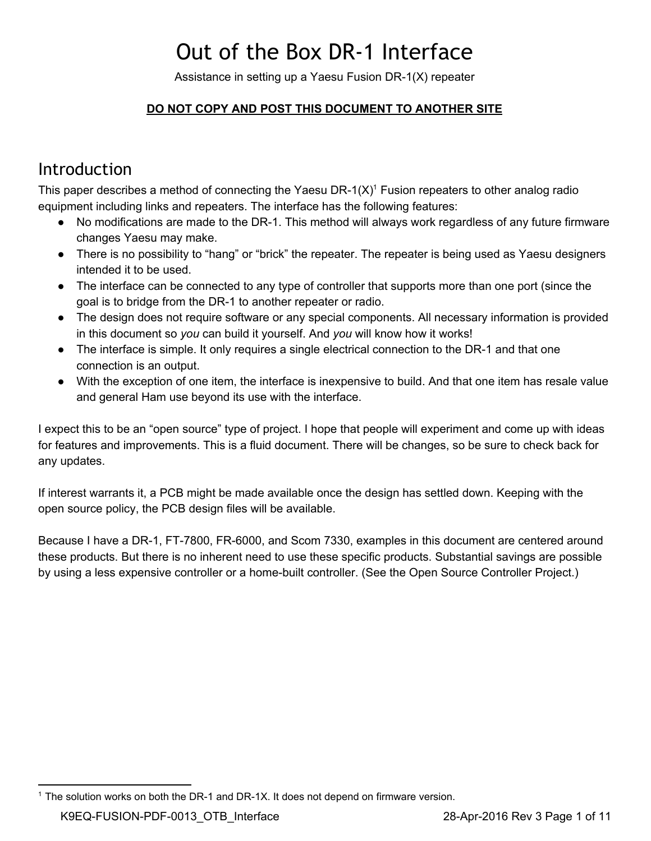# Out of the Box DR‐1 Interface

Assistance in setting up a Yaesu Fusion DR-1(X) repeater

### **DO NOT COPY AND POST THIS DOCUMENT TO ANOTHER SITE**

### <span id="page-0-0"></span>Introduction

This paper describes a method of connecting the Yaesu DR-1(X)<sup>1</sup> Fusion repeaters to other analog radio equipment including links and repeaters. The interface has the following features:

- No modifications are made to the DR-1. This method will always work regardless of any future firmware changes Yaesu may make.
- There is no possibility to "hang" or "brick" the repeater. The repeater is being used as Yaesu designers intended it to be used.
- The interface can be connected to any type of controller that supports more than one port (since the goal is to bridge from the DR-1 to another repeater or radio.
- The design does not require software or any special components. All necessary information is provided in this document so *you* can build it yourself. And *you* will know how it works!
- The interface is simple. It only requires a single electrical connection to the DR-1 and that one connection is an output.
- With the exception of one item, the interface is inexpensive to build. And that one item has resale value and general Ham use beyond its use with the interface.

I expect this to be an "open source" type of project. I hope that people will experiment and come up with ideas for features and improvements. This is a fluid document. There will be changes, so be sure to check back for any updates.

If interest warrants it, a PCB might be made available once the design has settled down. Keeping with the open source policy, the PCB design files will be available.

Because I have a DR-1, FT-7800, FR-6000, and Scom 7330, examples in this document are centered around these products. But there is no inherent need to use these specific products. Substantial savings are possible by using a less expensive controller or a home-built controller. (See the Open Source Controller Project.)

 $1$  The solution works on both the DR-1 and DR-1X. It does not depend on firmware version.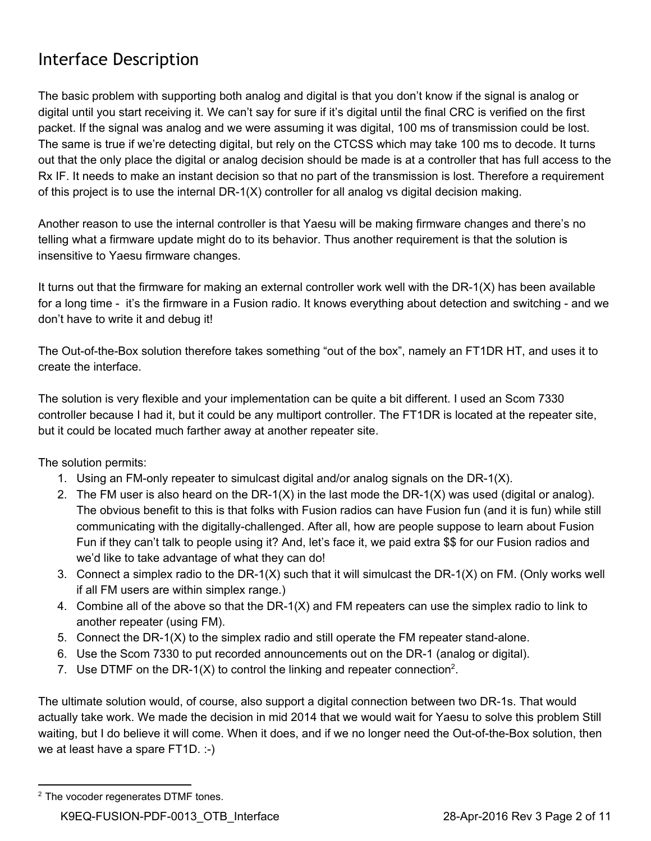## <span id="page-1-0"></span>Interface Description

The basic problem with supporting both analog and digital is that you don't know if the signal is analog or digital until you start receiving it. We can't say for sure if it's digital until the final CRC is verified on the first packet. If the signal was analog and we were assuming it was digital, 100 ms of transmission could be lost. The same is true if we're detecting digital, but rely on the CTCSS which may take 100 ms to decode. It turns out that the only place the digital or analog decision should be made is at a controller that has full access to the Rx IF. It needs to make an instant decision so that no part of the transmission is lost. Therefore a requirement of this project is to use the internal  $DR-1(X)$  controller for all analog vs digital decision making.

Another reason to use the internal controller is that Yaesu will be making firmware changes and there's no telling what a firmware update might do to its behavior. Thus another requirement is that the solution is insensitive to Yaesu firmware changes.

It turns out that the firmware for making an external controller work well with the  $DR-1(X)$  has been available for a long time - it's the firmware in a Fusion radio. It knows everything about detection and switching - and we don't have to write it and debug it!

The Out-of-the-Box solution therefore takes something "out of the box", namely an FT1DR HT, and uses it to create the interface.

The solution is very flexible and your implementation can be quite a bit different. I used an Scom 7330 controller because I had it, but it could be any multiport controller. The FT1DR is located at the repeater site, but it could be located much farther away at another repeater site.

The solution permits:

- 1. Using an FM-only repeater to simulcast digital and/or analog signals on the DR-1(X).
- 2. The FM user is also heard on the DR-1(X) in the last mode the DR-1(X) was used (digital or analog). The obvious benefit to this is that folks with Fusion radios can have Fusion fun (and it is fun) while still communicating with the digitally-challenged. After all, how are people suppose to learn about Fusion Fun if they can't talk to people using it? And, let's face it, we paid extra \$\$ for our Fusion radios and we'd like to take advantage of what they can do!
- 3. Connect a simplex radio to the DR-1(X) such that it will simulcast the DR-1(X) on FM. (Only works well if all FM users are within simplex range.)
- 4. Combine all of the above so that the DR-1(X) and FM repeaters can use the simplex radio to link to another repeater (using FM).
- 5. Connect the DR-1(X) to the simplex radio and still operate the FM repeater stand-alone.
- 6. Use the Scom 7330 to put recorded announcements out on the DR1 (analog or digital).
- 7. Use DTMF on the DR-1(X) to control the linking and repeater connection<sup>2</sup>.

The ultimate solution would, of course, also support a digital connection between two DR-1s. That would actually take work. We made the decision in mid 2014 that we would wait for Yaesu to solve this problem Still waiting, but I do believe it will come. When it does, and if we no longer need the Out-of-the-Box solution, then we at least have a spare FT1D. :-)

<sup>&</sup>lt;sup>2</sup> The vocoder regenerates DTMF tones.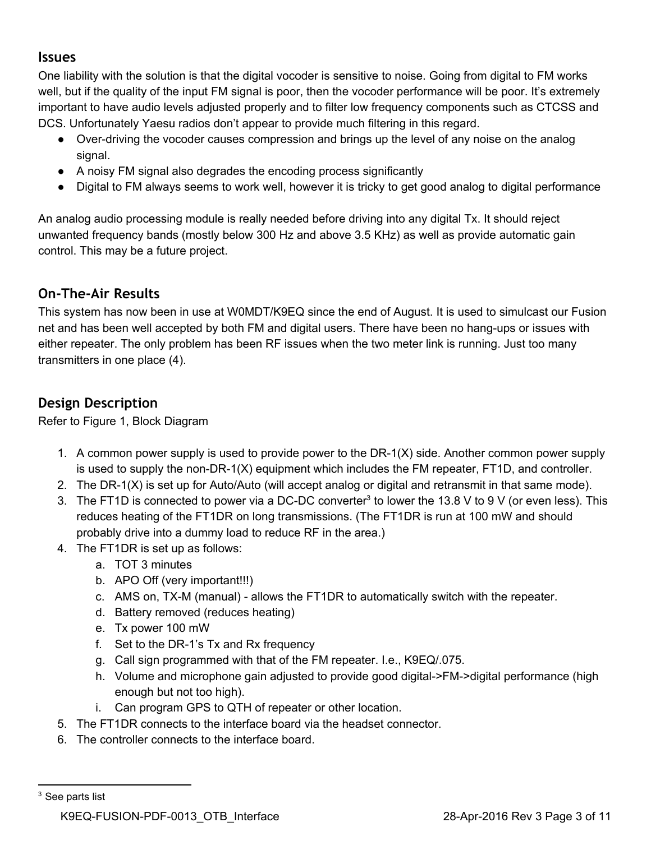### <span id="page-2-0"></span>**Issues**

One liability with the solution is that the digital vocoder is sensitive to noise. Going from digital to FM works well, but if the quality of the input FM signal is poor, then the vocoder performance will be poor. It's extremely important to have audio levels adjusted properly and to filter low frequency components such as CTCSS and DCS. Unfortunately Yaesu radios don't appear to provide much filtering in this regard.

- Over-driving the vocoder causes compression and brings up the level of any noise on the analog signal.
- A noisy FM signal also degrades the encoding process significantly
- Digital to FM always seems to work well, however it is tricky to get good analog to digital performance

An analog audio processing module is really needed before driving into any digital Tx. It should reject unwanted frequency bands (mostly below 300 Hz and above 3.5 KHz) as well as provide automatic gain control. This may be a future project.

### <span id="page-2-1"></span>**On‐The‐Air Results**

This system has now been in use at W0MDT/K9EQ since the end of August. It is used to simulcast our Fusion net and has been well accepted by both FM and digital users. There have been no hang-ups or issues with either repeater. The only problem has been RF issues when the two meter link is running. Just too many transmitters in one place (4).

### <span id="page-2-2"></span>**Design Description**

Refer to Figure 1, Block Diagram

- 1. A common power supply is used to provide power to the  $DR-1(X)$  side. Another common power supply is used to supply the non-DR-1(X) equipment which includes the FM repeater, FT1D, and controller.
- 2. The DR-1(X) is set up for Auto/Auto (will accept analog or digital and retransmit in that same mode).
- 3. The FT1D is connected to power via a DC-DC converter<sup>3</sup> to lower the 13.8 V to 9 V (or even less). This reduces heating of the FT1DR on long transmissions. (The FT1DR is run at 100 mW and should probably drive into a dummy load to reduce RF in the area.)
- 4. The FT1DR is set up as follows:
	- a. TOT 3 minutes
	- b. APO Off (very important!!!)
	- c. AMS on, TX-M (manual) allows the FT1DR to automatically switch with the repeater.
	- d. Battery removed (reduces heating)
	- e. Tx power 100 mW
	- f. Set to the DR-1's Tx and Rx frequency
	- g. Call sign programmed with that of the FM repeater. I.e., K9EQ/.075.
	- h. Volume and microphone gain adjusted to provide good digital->FM->digital performance (high enough but not too high).
	- i. Can program GPS to QTH of repeater or other location.
- 5. The FT1DR connects to the interface board via the headset connector.
- 6. The controller connects to the interface board.

<sup>&</sup>lt;sup>3</sup> See parts list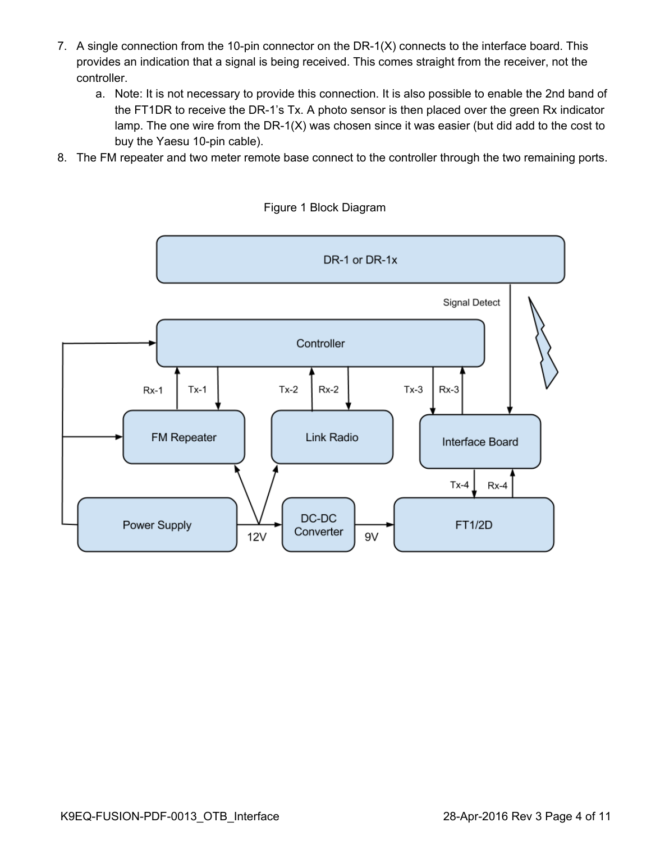- 7. A single connection from the 10-pin connector on the DR-1(X) connects to the interface board. This provides an indication that a signal is being received. This comes straight from the receiver, not the controller.
	- a. Note: It is not necessary to provide this connection. It is also possible to enable the 2nd band of the FT1DR to receive the DR-1's Tx. A photo sensor is then placed over the green Rx indicator lamp. The one wire from the DR-1(X) was chosen since it was easier (but did add to the cost to buy the Yaesu 10-pin cable).
- 8. The FM repeater and two meter remote base connect to the controller through the two remaining ports.



Figure 1 Block Diagram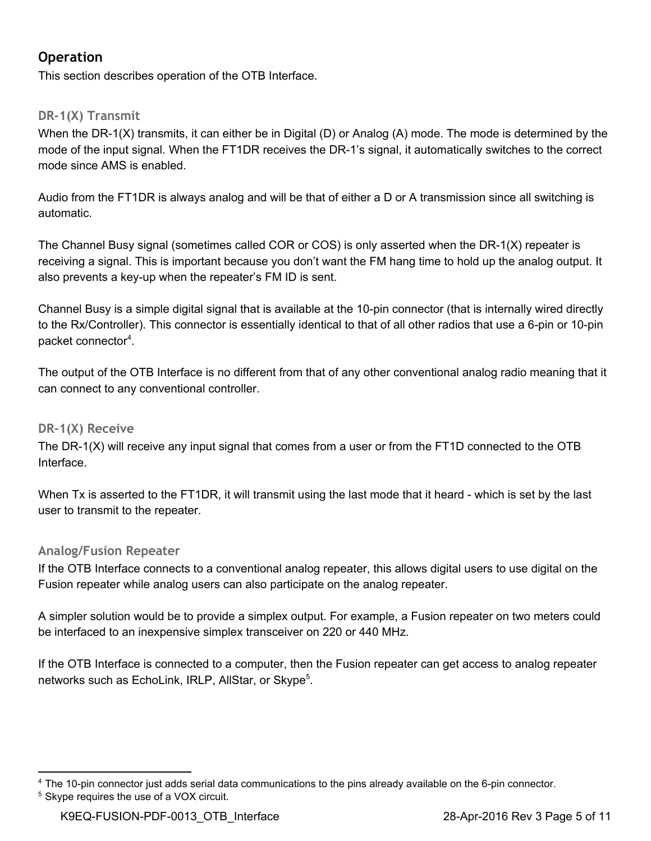### <span id="page-4-0"></span>**Operation**

This section describes operation of the OTB Interface.

#### <span id="page-4-1"></span>**DR‐1(X) Transmit**

When the DR-1(X) transmits, it can either be in Digital (D) or Analog (A) mode. The mode is determined by the mode of the input signal. When the FT1DR receives the DR-1's signal, it automatically switches to the correct mode since AMS is enabled.

Audio from the FT1DR is always analog and will be that of either a D or A transmission since all switching is automatic.

The Channel Busy signal (sometimes called COR or COS) is only asserted when the DR-1(X) repeater is receiving a signal. This is important because you don't want the FM hang time to hold up the analog output. It also prevents a key-up when the repeater's FM ID is sent.

Channel Busy is a simple digital signal that is available at the 10-pin connector (that is internally wired directly to the Rx/Controller). This connector is essentially identical to that of all other radios that use a 6-pin or 10-pin packet connector<sup>4</sup>.

The output of the OTB Interface is no different from that of any other conventional analog radio meaning that it can connect to any conventional controller.

#### <span id="page-4-2"></span>**DR‐1(X) Receive**

The  $DR-1(X)$  will receive any input signal that comes from a user or from the FT1D connected to the OTB Interface.

When Tx is asserted to the FT1DR, it will transmit using the last mode that it heard - which is set by the last user to transmit to the repeater.

#### <span id="page-4-3"></span>**Analog/Fusion Repeater**

If the OTB Interface connects to a conventional analog repeater, this allows digital users to use digital on the Fusion repeater while analog users can also participate on the analog repeater.

A simpler solution would be to provide a simplex output. For example, a Fusion repeater on two meters could be interfaced to an inexpensive simplex transceiver on 220 or 440 MHz.

If the OTB Interface is connected to a computer, then the Fusion repeater can get access to analog repeater networks such as EchoLink, IRLP, AllStar, or Skype<sup>5</sup>.

 $4$  The 10-pin connector just adds serial data communications to the pins already available on the 6-pin connector. <sup>5</sup> Skype requires the use of a VOX circuit.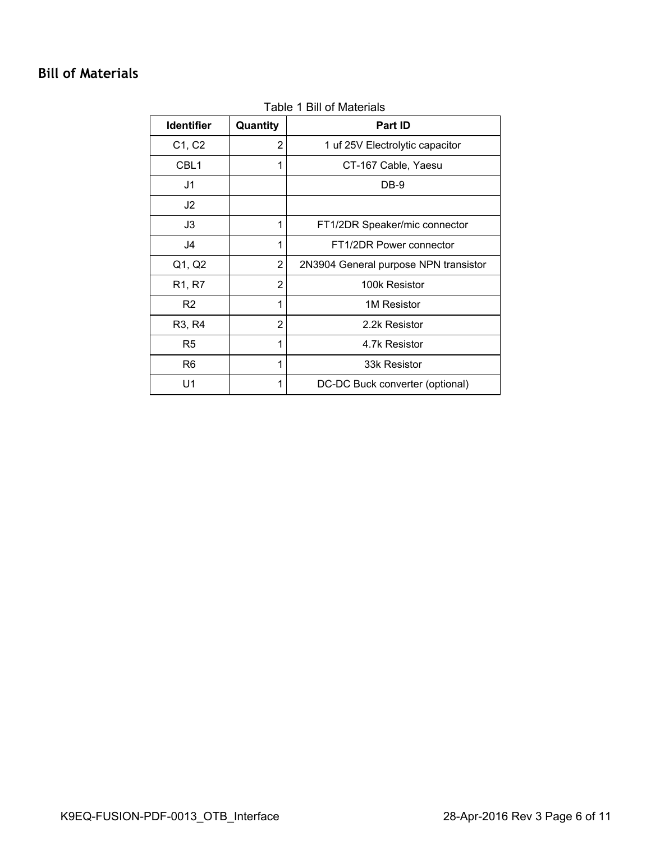### <span id="page-5-0"></span>**Bill of Materials**

| <b>Identifier</b>               | Quantity       | <b>Part ID</b>                        |
|---------------------------------|----------------|---------------------------------------|
| C1, C2                          | $\overline{2}$ | 1 uf 25V Electrolytic capacitor       |
| CBL <sub>1</sub>                | 1              | CT-167 Cable, Yaesu                   |
| J1                              |                | DB-9                                  |
| J <sub>2</sub>                  |                |                                       |
| J3                              | 1              | FT1/2DR Speaker/mic connector         |
| J4                              | 1              | FT1/2DR Power connector               |
| Q1, Q2                          | $\overline{2}$ | 2N3904 General purpose NPN transistor |
| R <sub>1</sub> , R <sub>7</sub> | 2              | 100k Resistor                         |
| R <sub>2</sub>                  | 1              | 1M Resistor                           |
| R <sub>3</sub> , R <sub>4</sub> | $\overline{2}$ | 2.2k Resistor                         |
| R <sub>5</sub>                  | 1              | 4.7k Resistor                         |
| R <sub>6</sub>                  | 1              | 33k Resistor                          |
| U1                              | 1              | DC-DC Buck converter (optional)       |

#### Table 1 Bill of Materials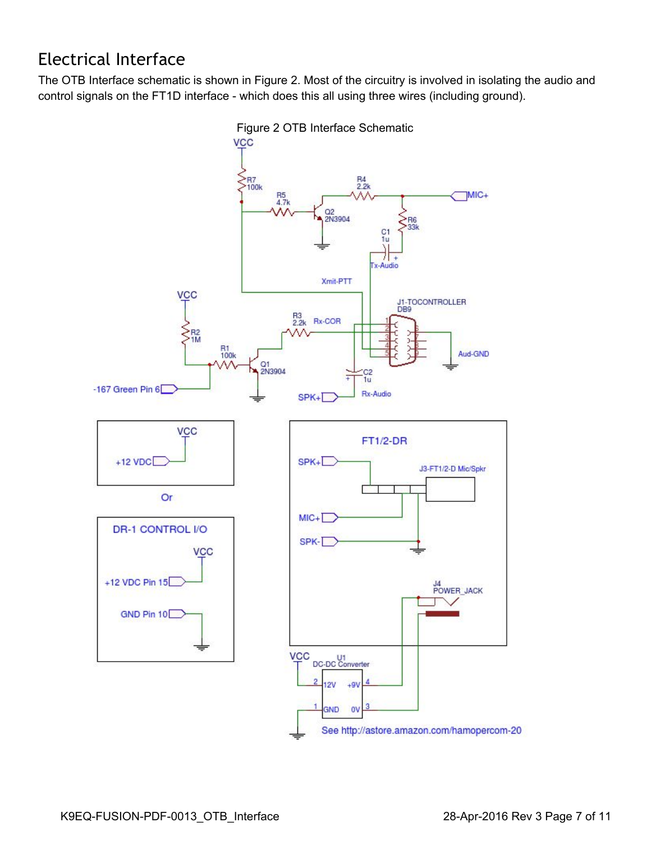## <span id="page-6-0"></span>Electrical Interface

The OTB Interface schematic is shown in Figure 2. Most of the circuitry is involved in isolating the audio and control signals on the FT1D interface - which does this all using three wires (including ground).



Figure 2 OTB Interface Schematic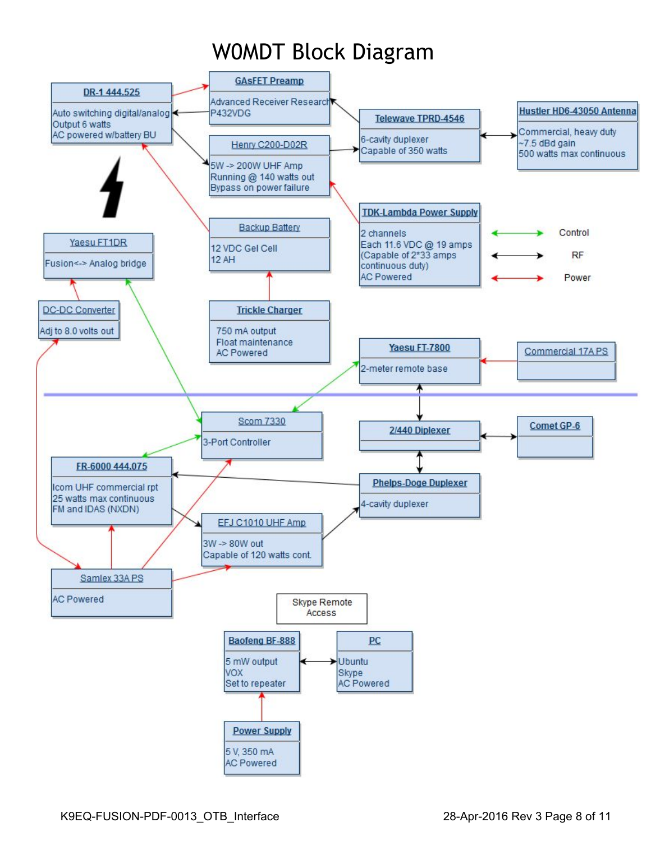# W0MDT Block Diagram

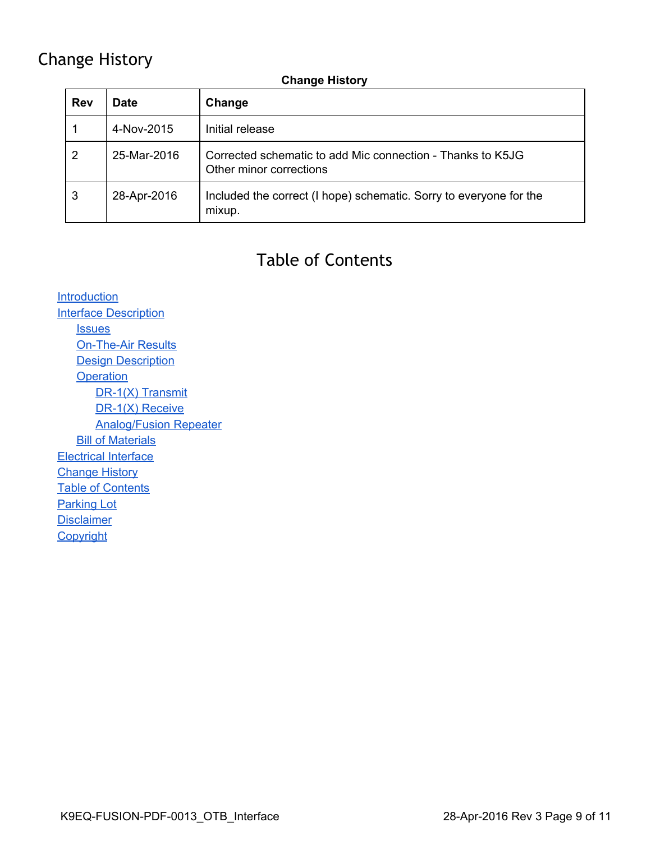### <span id="page-8-0"></span>Change History

#### **Change History**

| <b>Rev</b> | <b>Date</b> | Change                                                                                |
|------------|-------------|---------------------------------------------------------------------------------------|
|            | 4-Nov-2015  | Initial release                                                                       |
| 2          | 25-Mar-2016 | Corrected schematic to add Mic connection - Thanks to K5JG<br>Other minor corrections |
| 3          | 28-Apr-2016 | Included the correct (I hope) schematic. Sorry to everyone for the<br>mixup.          |

## Table of Contents

<span id="page-8-1"></span>**[Introduction](#page-0-0) Interface [Description](#page-1-0) [Issues](#page-2-0) On-The-Air Results Design [Description](#page-2-2) [Operation](#page-4-0)** DR-1(X) [Transmit](#page-4-1) DR-1(X) Receive [Analog/Fusion](#page-4-3) Repeater **Bill of [Materials](#page-5-0)** [Electrical](#page-6-0) Interface [Change](#page-8-0) History **Table of [Contents](#page-8-1)** [Parking](#page-9-0) Lot **[Disclaimer](#page-10-0) [Copyright](#page-10-1)**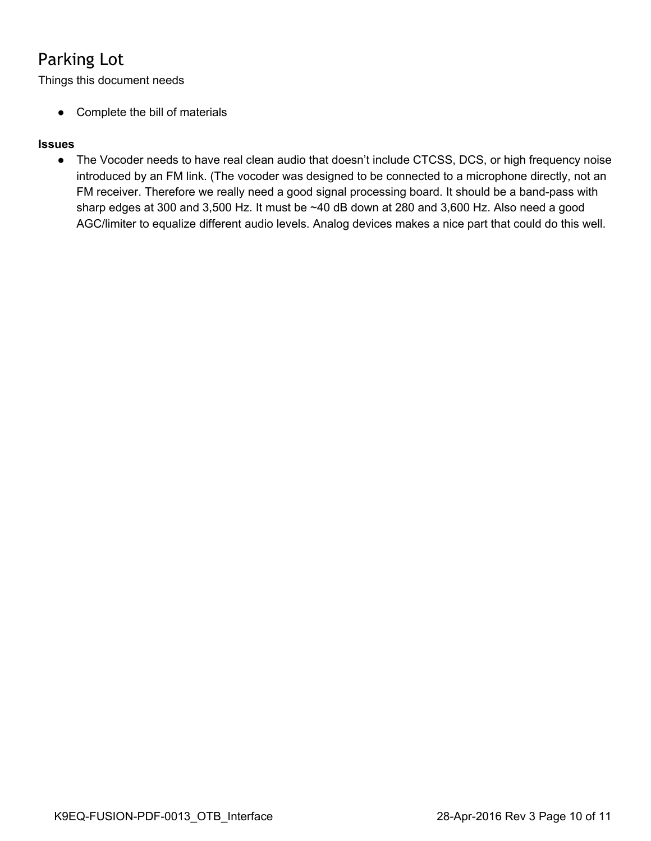## <span id="page-9-0"></span>Parking Lot

Things this document needs

● Complete the bill of materials

#### **Issues**

● The Vocoder needs to have real clean audio that doesn't include CTCSS, DCS, or high frequency noise introduced by an FM link. (The vocoder was designed to be connected to a microphone directly, not an FM receiver. Therefore we really need a good signal processing board. It should be a band-pass with sharp edges at 300 and 3,500 Hz. It must be ~40 dB down at 280 and 3,600 Hz. Also need a good AGC/limiter to equalize different audio levels. Analog devices makes a nice part that could do this well.